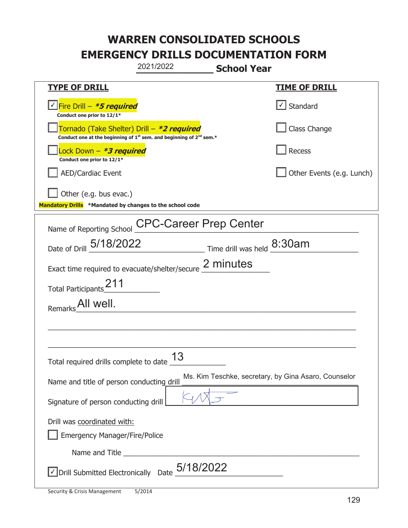|                                                                                    | 2021/2022                                                                                   | <b>School Year</b> |                                                      |
|------------------------------------------------------------------------------------|---------------------------------------------------------------------------------------------|--------------------|------------------------------------------------------|
| <u>TYPE OF DRILL</u>                                                               |                                                                                             |                    | <u>TIME OF DRILL</u>                                 |
| <u>√ Fire Drill – <i>*5 required</i></u><br>Conduct one prior to 12/1*             |                                                                                             |                    | $\lfloor \angle \rfloor$ Standard                    |
| Tornado (Take Shelter) Drill – *2 required                                         | Conduct one at the beginning of 1 <sup>st</sup> sem. and beginning of 2 <sup>nd</sup> sem.* |                    | Class Change                                         |
| Lock Down – <b>*<i>3 required</i></b><br>Conduct one prior to 12/1*                |                                                                                             |                    | Recess                                               |
| <b>AED/Cardiac Event</b>                                                           |                                                                                             |                    | Other Events (e.g. Lunch)                            |
| Other (e.g. bus evac.)<br>Mandatory Drills *Mandated by changes to the school code |                                                                                             |                    |                                                      |
| Name of Reporting School                                                           | <b>CPC-Career Prep Center</b>                                                               |                    |                                                      |
| Date of Drill 5/18/2022                                                            | Time drill was held 8:30am                                                                  |                    |                                                      |
| Exact time required to evacuate/shelter/secure 2 minutes                           |                                                                                             |                    |                                                      |
| Total Participants <sup>211</sup>                                                  |                                                                                             |                    |                                                      |
| All well.<br>Remarks                                                               |                                                                                             |                    |                                                      |
|                                                                                    |                                                                                             |                    |                                                      |
|                                                                                    |                                                                                             |                    |                                                      |
| Total required drills complete to date                                             | 13                                                                                          |                    |                                                      |
| Name and title of person conducting drill                                          |                                                                                             |                    | Ms. Kim Teschke, secretary, by Gina Asaro, Counselor |
| Signature of person conducting drill                                               |                                                                                             |                    |                                                      |
| Drill was coordinated with:<br><b>Emergency Manager/Fire/Police</b>                |                                                                                             |                    |                                                      |
|                                                                                    |                                                                                             |                    |                                                      |
| $\vee$ Drill Submitted Electronically Date $_+$ 5/18/2022                          |                                                                                             |                    |                                                      |

t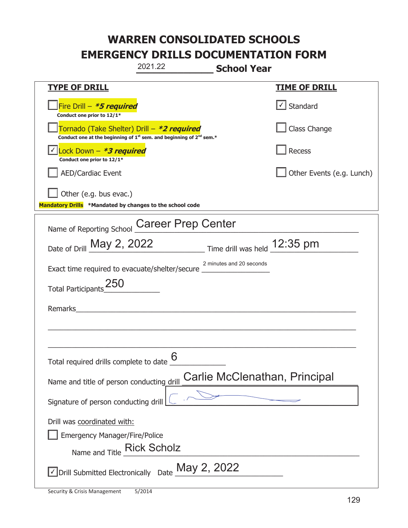|                                                                                    | 2021.22                                                                                     | <b>School Year</b>           |                               |
|------------------------------------------------------------------------------------|---------------------------------------------------------------------------------------------|------------------------------|-------------------------------|
| <b>TYPE OF DRILL</b>                                                               |                                                                                             |                              | <b>TIME OF DRILL</b>          |
| Fire Drill - *5 required<br>Conduct one prior to 12/1*                             |                                                                                             |                              | Standard                      |
| Tornado (Take Shelter) Drill – *2 required                                         | Conduct one at the beginning of 1 <sup>st</sup> sem. and beginning of 2 <sup>nd</sup> sem.* |                              | Class Change                  |
| Lock Down - *3 required<br>Conduct one prior to 12/1*                              |                                                                                             |                              | Recess                        |
| <b>AED/Cardiac Event</b>                                                           |                                                                                             |                              | Other Events (e.g. Lunch)     |
| Other (e.g. bus evac.)<br>Mandatory Drills *Mandated by changes to the school code |                                                                                             |                              |                               |
| Name of Reporting School                                                           | <b>Career Prep Center</b>                                                                   |                              |                               |
| Date of Drill May 2, 2022                                                          |                                                                                             | Time drill was held 12:35 pm |                               |
| Exact time required to evacuate/shelter/secure                                     |                                                                                             | 2 minutes and 20 seconds     |                               |
| <b>Total Participants</b>                                                          |                                                                                             |                              |                               |
| Remarks                                                                            |                                                                                             |                              |                               |
|                                                                                    |                                                                                             |                              |                               |
| Total required drills complete to date $6$                                         |                                                                                             |                              |                               |
| Name and title of person conducting drill                                          |                                                                                             |                              | Carlie McClenathan, Principal |
| Signature of person conducting drill                                               |                                                                                             |                              |                               |
| Drill was coordinated with:                                                        |                                                                                             |                              |                               |
| <b>Emergency Manager/Fire/Police</b>                                               |                                                                                             |                              |                               |
| Name and Title Rick Scholz                                                         |                                                                                             |                              |                               |
| √Drill Submitted Electronically Date May 2, 2022                                   |                                                                                             |                              |                               |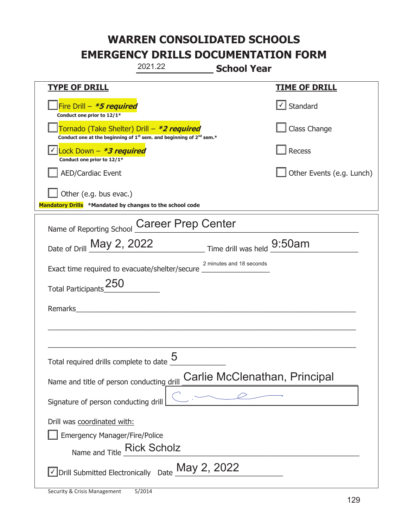|                                                                                                   | 2021.22                                                                                     | <b>School Year</b>            |
|---------------------------------------------------------------------------------------------------|---------------------------------------------------------------------------------------------|-------------------------------|
| <b>TYPE OF DRILL</b>                                                                              |                                                                                             | <u>TIME OF DRILL</u>          |
| Fire Drill - *5 required<br>Conduct one prior to 12/1*                                            |                                                                                             | Standard                      |
| Tornado (Take Shelter) Drill – *2 required                                                        | Conduct one at the beginning of 1 <sup>st</sup> sem. and beginning of 2 <sup>nd</sup> sem.* | Class Change                  |
| Lock Down - *3 required<br>Conduct one prior to 12/1*                                             |                                                                                             | <b>Recess</b>                 |
| AED/Cardiac Event                                                                                 |                                                                                             | Other Events (e.g. Lunch)     |
| Other (e.g. bus evac.)<br>Mandatory Drills *Mandated by changes to the school code                |                                                                                             |                               |
| Name of Reporting School                                                                          | <b>Career Prep Center</b>                                                                   |                               |
| Date of Drill May 2, 2022                                                                         |                                                                                             | Time drill was held 9:50am    |
| Exact time required to evacuate/shelter/secure _                                                  |                                                                                             | 2 minutes and 18 seconds      |
| <b>Total Participants</b>                                                                         |                                                                                             |                               |
| Remarks                                                                                           |                                                                                             |                               |
|                                                                                                   |                                                                                             |                               |
| Total required drills complete to date                                                            | 5                                                                                           |                               |
| Name and title of person conducting drill                                                         |                                                                                             | Carlie McClenathan, Principal |
| Signature of person conducting drill                                                              |                                                                                             |                               |
| Drill was coordinated with:<br><b>Emergency Manager/Fire/Police</b><br>Name and Title Rick Scholz |                                                                                             |                               |
|                                                                                                   | $\vee$ Drill Submitted Electronically Date $\frac{\text{May 2, 2022}}{}$                    |                               |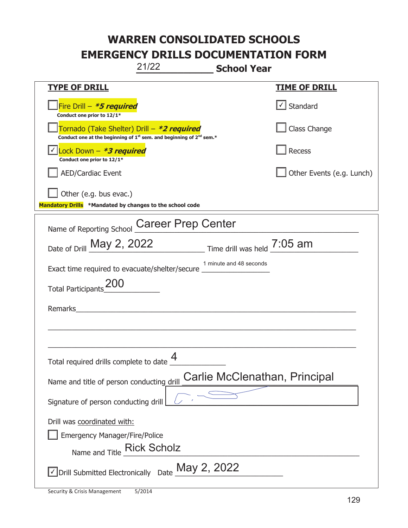# **WARREN CONSOLIDATED SCHOOLS**

**EMERGENCY DRILLS DOCUMENTATION FORM** 

**\_\_\_\_\_\_\_\_\_\_\_\_\_ School Year**  21/22

| <u>TYPE OF DRILL</u>                                                                                                                      | <b>TIME OF DRILL</b>              |
|-------------------------------------------------------------------------------------------------------------------------------------------|-----------------------------------|
| Fire Drill - *5 required<br>Conduct one prior to 12/1*                                                                                    | $\lfloor \angle \rfloor$ Standard |
| Tornado (Take Shelter) Drill – *2 required<br>Conduct one at the beginning of 1 <sup>st</sup> sem. and beginning of 2 <sup>nd</sup> sem.* | Class Change                      |
| <u>  Y <mark>Lock Down – <b><i>*3 required</i></b></mark></u><br>Conduct one prior to 12/1*                                               | Recess                            |
| <b>AED/Cardiac Event</b>                                                                                                                  | Other Events (e.g. Lunch)         |
| Other (e.g. bus evac.)                                                                                                                    |                                   |
| Mandatory Drills *Mandated by changes to the school code                                                                                  |                                   |
| <b>Career Prep Center</b><br>Name of Reporting School                                                                                     |                                   |
| Date of Drill May 2, 2022                                                                                                                 | Time drill was held 7:05 am       |
| Exact time required to evacuate/shelter/secure _____________                                                                              | 1 minute and 48 seconds           |
| <b>Total Participants</b>                                                                                                                 |                                   |
| Remarks                                                                                                                                   |                                   |
|                                                                                                                                           |                                   |
|                                                                                                                                           |                                   |
| Total required drills complete to date                                                                                                    |                                   |
| Name and title of person conducting drill                                                                                                 | Carlie McClenathan, Principal     |
| Signature of person conducting drill                                                                                                      |                                   |
| Drill was coordinated with:                                                                                                               |                                   |
| <b>Emergency Manager/Fire/Police</b>                                                                                                      |                                   |
| Name and Title Rick Scholz                                                                                                                |                                   |
| $\vee$ Drill Submitted Electronically Date $\mathop{\text{May}}$ 2, 2022                                                                  |                                   |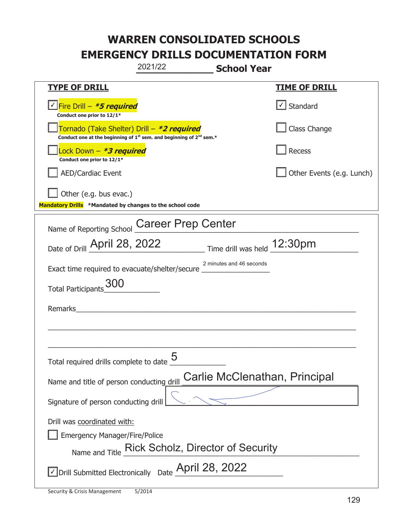|                                                                                    | 2021/22                                                                                     | <b>School Year</b>          |                               |
|------------------------------------------------------------------------------------|---------------------------------------------------------------------------------------------|-----------------------------|-------------------------------|
| <u>TYPE OF DRILL</u>                                                               |                                                                                             |                             | <b>TIME OF DRILL</b>          |
| Fire Drill - *5 required<br>Conduct one prior to 12/1*                             |                                                                                             |                             | Standard                      |
| Tornado (Take Shelter) Drill – *2 required                                         | Conduct one at the beginning of 1 <sup>st</sup> sem. and beginning of 2 <sup>nd</sup> sem.* |                             | Class Change                  |
| Lock Down – <i>*<b>3 required</b></i><br>Conduct one prior to 12/1*                |                                                                                             |                             | <b>Recess</b>                 |
| <b>AED/Cardiac Event</b>                                                           |                                                                                             |                             | Other Events (e.g. Lunch)     |
| Other (e.g. bus evac.)<br>Mandatory Drills *Mandated by changes to the school code |                                                                                             |                             |                               |
| Name of Reporting School                                                           | <b>Career Prep Center</b>                                                                   |                             |                               |
| Date of Drill April 28, 2022                                                       |                                                                                             | Time drill was held 12:30pm |                               |
| Exact time required to evacuate/shelter/secure                                     |                                                                                             | 2 minutes and 46 seconds    |                               |
| <b>Total Participants</b>                                                          |                                                                                             |                             |                               |
| Remarks                                                                            |                                                                                             |                             |                               |
|                                                                                    |                                                                                             |                             |                               |
|                                                                                    |                                                                                             |                             |                               |
| Total required drills complete to date $\frac{5}{2}$                               |                                                                                             |                             |                               |
| Name and title of person conducting drill                                          |                                                                                             |                             | Carlie McClenathan, Principal |
| Signature of person conducting drill                                               |                                                                                             |                             |                               |
| Drill was coordinated with:<br><b>Emergency Manager/Fire/Police</b>                | Name and Title Rick Scholz, Director of Security                                            |                             |                               |
| $\sqrt{\ }$ Drill Submitted Electronically Date $\sqrt{\ }$ April 28, 2022         |                                                                                             |                             |                               |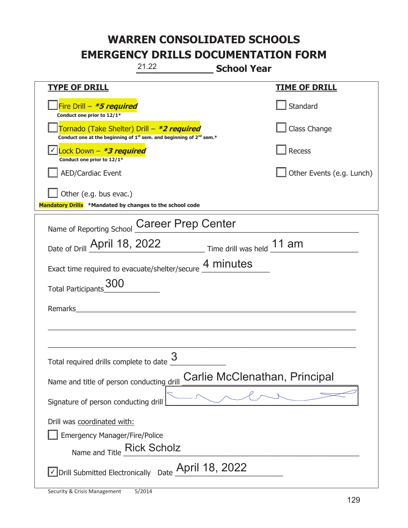|                                                                                                   | 21.22                                                                                       | <b>School Year</b>        |                               |
|---------------------------------------------------------------------------------------------------|---------------------------------------------------------------------------------------------|---------------------------|-------------------------------|
| <b>TYPE OF DRILL</b>                                                                              |                                                                                             |                           | <b>TIME OF DRILL</b>          |
| Fire Drill - *5 required<br>Conduct one prior to 12/1*                                            |                                                                                             |                           | Standard                      |
| Tornado (Take Shelter) Drill – *2 required                                                        | Conduct one at the beginning of 1 <sup>st</sup> sem. and beginning of 2 <sup>nd</sup> sem.* |                           | Class Change                  |
| Lock Down $-$ *3 required<br>Conduct one prior to 12/1*                                           |                                                                                             |                           | Recess                        |
| <b>AED/Cardiac Event</b>                                                                          |                                                                                             |                           | Other Events (e.g. Lunch)     |
| Other (e.g. bus evac.)<br>Mandatory Drills *Mandated by changes to the school code                |                                                                                             |                           |                               |
| Name of Reporting School                                                                          | <b>Career Prep Center</b>                                                                   |                           |                               |
| Date of Drill April 18, 2022                                                                      |                                                                                             | Time drill was held 11 am |                               |
| Exact time required to evacuate/shelter/secure 4 minutes                                          |                                                                                             |                           |                               |
| <b>Total Participants</b>                                                                         |                                                                                             |                           |                               |
| Remarks                                                                                           |                                                                                             |                           |                               |
|                                                                                                   |                                                                                             |                           |                               |
| Total required drills complete to date $\frac{0}{2}$                                              | 3                                                                                           |                           |                               |
| Name and title of person conducting drill                                                         |                                                                                             |                           | Carlie McClenathan, Principal |
| Signature of person conducting drill                                                              |                                                                                             |                           |                               |
| Drill was coordinated with:<br><b>Emergency Manager/Fire/Police</b><br>Name and Title Rick Scholz |                                                                                             |                           |                               |
| $\sqrt{\ }$ Drill Submitted Electronically Date $\_$ April 18, 2022                               |                                                                                             |                           |                               |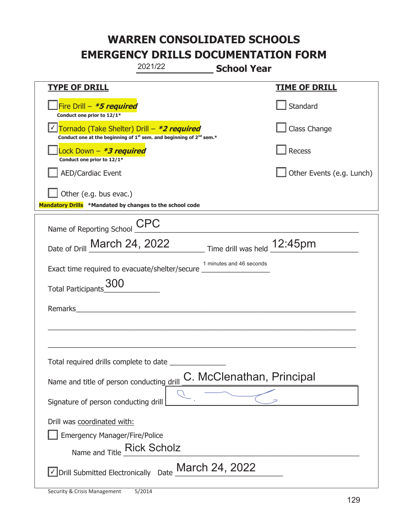|                                                                                                   | 2021/22                                                                                     | <b>School Year</b>          |                           |
|---------------------------------------------------------------------------------------------------|---------------------------------------------------------------------------------------------|-----------------------------|---------------------------|
| <u>TYPE OF DRILL</u>                                                                              |                                                                                             |                             | <u>TIME OF DRILL</u>      |
| Fire Drill - *5 required<br>Conduct one prior to 12/1*                                            |                                                                                             |                             | Standard                  |
| Tornado (Take Shelter) Drill - *2 required                                                        | Conduct one at the beginning of 1 <sup>st</sup> sem. and beginning of 2 <sup>nd</sup> sem.* |                             | Class Change              |
| Lock Down - *3 required<br>Conduct one prior to 12/1*                                             |                                                                                             |                             | <b>Recess</b>             |
| AED/Cardiac Event                                                                                 |                                                                                             |                             | Other Events (e.g. Lunch) |
| Other (e.g. bus evac.)<br>Mandatory Drills *Mandated by changes to the school code                |                                                                                             |                             |                           |
| Name of Reporting School                                                                          | <b>CPC</b>                                                                                  |                             |                           |
| Date of Drill March 24, 2022                                                                      |                                                                                             | Time drill was held 12:45pm |                           |
| Exact time required to evacuate/shelter/secure                                                    |                                                                                             | 1 minutes and 46 seconds    |                           |
| Total Participants 300                                                                            |                                                                                             |                             |                           |
| Remarks                                                                                           |                                                                                             |                             |                           |
|                                                                                                   |                                                                                             |                             |                           |
| Total required drills complete to date                                                            |                                                                                             |                             |                           |
| Name and title of person conducting drill                                                         |                                                                                             | C. McClenathan, Principal   |                           |
| Signature of person conducting drill                                                              |                                                                                             |                             |                           |
| Drill was coordinated with:<br><b>Emergency Manager/Fire/Police</b><br>Name and Title Rick Scholz |                                                                                             |                             |                           |
| √ Drill Submitted Electronically                                                                  | Date                                                                                        | March 24, 2022              |                           |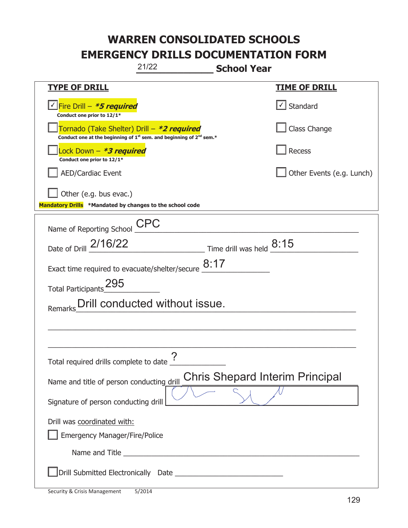| 21/22                                                                                                                                     | <b>School Year</b>                      |
|-------------------------------------------------------------------------------------------------------------------------------------------|-----------------------------------------|
| <b>TYPE OF DRILL</b>                                                                                                                      | <u>TIME OF DRILL</u>                    |
| Conduct one prior to 12/1*                                                                                                                | $\cup$ Standard                         |
| Tornado (Take Shelter) Drill – *2 required<br>Conduct one at the beginning of 1 <sup>st</sup> sem. and beginning of 2 <sup>nd</sup> sem.* | Class Change                            |
| Lock Down - *3 required<br>Conduct one prior to 12/1*                                                                                     | Recess                                  |
| <b>AED/Cardiac Event</b>                                                                                                                  | Other Events (e.g. Lunch)               |
| Other (e.g. bus evac.)<br>Mandatory Drills *Mandated by changes to the school code                                                        |                                         |
| <b>CPC</b><br>Name of Reporting School                                                                                                    |                                         |
| Date of Drill 2/16/22                                                                                                                     | $\_$ Time drill was held $_{\_}$ $8:15$ |
| Exact time required to evacuate/shelter/secure $8:17$                                                                                     |                                         |
| Total Participants_295                                                                                                                    |                                         |
| Drill conducted without issue.<br>Remarks                                                                                                 |                                         |
|                                                                                                                                           |                                         |
|                                                                                                                                           |                                         |
| $\boldsymbol{\mathsf{P}}$<br>Total required drills complete to date $\frac{1}{\cdot}$                                                     |                                         |
| Name and title of person conducting drill                                                                                                 | <b>Chris Shepard Interim Principal</b>  |
| Signature of person conducting drill                                                                                                      |                                         |
| Drill was coordinated with:                                                                                                               |                                         |
| <b>Emergency Manager/Fire/Police</b>                                                                                                      |                                         |
|                                                                                                                                           |                                         |
|                                                                                                                                           |                                         |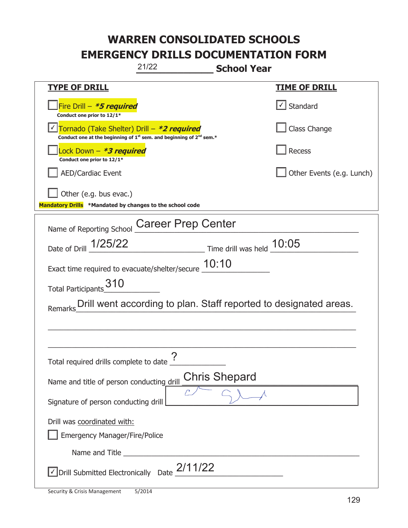| 21/22<br><b>School Year</b>                                                                                                               |                                                                   |  |
|-------------------------------------------------------------------------------------------------------------------------------------------|-------------------------------------------------------------------|--|
| <b>TYPE OF DRILL</b>                                                                                                                      | <u>TIME OF DRILL</u>                                              |  |
| Fire Drill - *5 required<br>Conduct one prior to 12/1*                                                                                    | √ Standard                                                        |  |
| Tornado (Take Shelter) Drill - *2 required<br>Conduct one at the beginning of 1 <sup>st</sup> sem. and beginning of 2 <sup>nd</sup> sem.* | Class Change                                                      |  |
| Lock Down - <b>*3 required</b><br>Conduct one prior to 12/1*                                                                              | <b>Recess</b>                                                     |  |
| <b>AED/Cardiac Event</b>                                                                                                                  | Other Events (e.g. Lunch)                                         |  |
| Other (e.g. bus evac.)<br>Mandatory Drills *Mandated by changes to the school code                                                        |                                                                   |  |
| <b>Career Prep Center</b><br>Name of Reporting School                                                                                     |                                                                   |  |
| Date of Drill 1/25/22                                                                                                                     | $\frac{10.05}{1000}$ Time drill was held $\frac{10.05}{1000}$     |  |
| Exact time required to evacuate/shelter/secure 10:10                                                                                      |                                                                   |  |
| 310<br><b>Total Participants</b>                                                                                                          |                                                                   |  |
| Remarks                                                                                                                                   | Drill went according to plan. Staff reported to designated areas. |  |
|                                                                                                                                           |                                                                   |  |
|                                                                                                                                           |                                                                   |  |
| っ<br>Total required drills complete to date                                                                                               |                                                                   |  |
| Name and title of person conducting drill                                                                                                 | <b>Chris Shepard</b>                                              |  |
| Signature of person conducting drill                                                                                                      |                                                                   |  |
| Drill was coordinated with:                                                                                                               |                                                                   |  |
| <b>Emergency Manager/Fire/Police</b>                                                                                                      |                                                                   |  |
| Name and Title <b>Name and Title</b>                                                                                                      |                                                                   |  |
| $\le$ Drill Submitted Electronically Date $2/11/22$                                                                                       |                                                                   |  |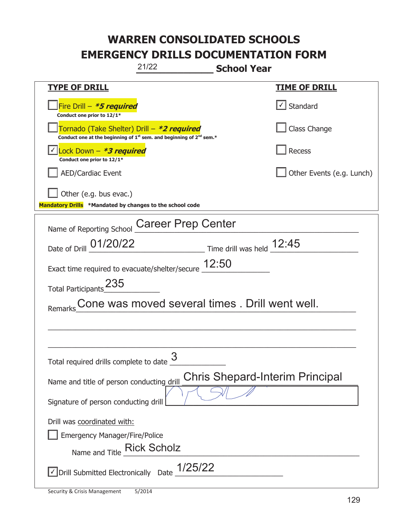| 21/22<br><b>School Year</b>                                                                                                               |                                        |  |
|-------------------------------------------------------------------------------------------------------------------------------------------|----------------------------------------|--|
| <b>TYPE OF DRILL</b>                                                                                                                      | <u>TIME OF DRILL</u>                   |  |
| Fire Drill - *5 required<br>Conduct one prior to 12/1*                                                                                    | √ Standard                             |  |
| Tornado (Take Shelter) Drill – *2 required<br>Conduct one at the beginning of $1^{st}$ sem. and beginning of $2^{nd}$ sem.*               | Class Change                           |  |
| Lock Down - *3 required<br>Conduct one prior to 12/1*                                                                                     | Recess                                 |  |
| <b>AED/Cardiac Event</b>                                                                                                                  | Other Events (e.g. Lunch)              |  |
| Other (e.g. bus evac.)<br>Mandatory Drills *Mandated by changes to the school code                                                        |                                        |  |
| Name of Reporting School Career Prep Center                                                                                               |                                        |  |
| $\frac{12:45}{\frac{1}{2}$ Time drill was held $\frac{12:45}{\frac{1}{2} \cdot \frac{1}{2} \cdot \frac{1}{2}}$<br>Date of Drill _01/20/22 |                                        |  |
| Exact time required to evacuate/shelter/secure $\underline{12:}50$                                                                        |                                        |  |
| Total Participants_235                                                                                                                    |                                        |  |
| Cone was moved several times . Drill went well.                                                                                           |                                        |  |
|                                                                                                                                           |                                        |  |
|                                                                                                                                           |                                        |  |
| 3<br>Total required drills complete to date                                                                                               |                                        |  |
| Name and title of person conducting drill                                                                                                 | <b>Chris Shepard-Interim Principal</b> |  |
| Signature of person conducting drill                                                                                                      |                                        |  |
| Drill was coordinated with:                                                                                                               |                                        |  |
| <b>Emergency Manager/Fire/Police</b>                                                                                                      |                                        |  |
| Name and Title Rick Scholz                                                                                                                |                                        |  |
| $\vee$ Drill Submitted Electronically Date $1/25/22$                                                                                      |                                        |  |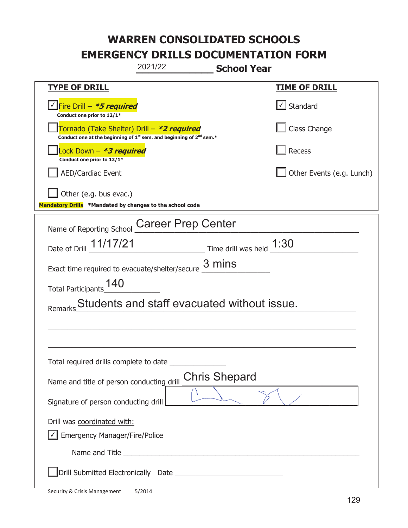| 2021/22                                                                                                                                   | <b>School Year</b>        |
|-------------------------------------------------------------------------------------------------------------------------------------------|---------------------------|
| <b>TYPE OF DRILL</b>                                                                                                                      | <b>TIME OF DRILL</b>      |
| <u> √ <mark>Fire Drill – <i>*<b>5 required</b></i></mark></u><br>Conduct one prior to 12/1*                                               | $\cup$ Standard           |
| Tornado (Take Shelter) Drill – *2 required<br>Conduct one at the beginning of 1 <sup>st</sup> sem. and beginning of 2 <sup>nd</sup> sem.* | Class Change              |
| Lock Down – <b>*3 required</b><br>Conduct one prior to 12/1*                                                                              | Recess                    |
| AED/Cardiac Event                                                                                                                         | Other Events (e.g. Lunch) |
| Other (e.g. bus evac.)<br>Mandatory Drills *Mandated by changes to the school code                                                        |                           |
| <b>Career Prep Center</b><br>Name of Reporting School                                                                                     |                           |
| Date of Drill 11/17/21                                                                                                                    |                           |
| Exact time required to evacuate/shelter/secure $\frac{3 \text{ mins}}{4}$                                                                 |                           |
| 140<br><b>Total Participants</b>                                                                                                          |                           |
| Students and staff evacuated without issue.                                                                                               |                           |
|                                                                                                                                           |                           |
|                                                                                                                                           |                           |
| Total required drills complete to date                                                                                                    |                           |
| Name and title of person conducting drill                                                                                                 | <b>Chris Shepard</b>      |
| Signature of person conducting drill                                                                                                      |                           |
| Drill was coordinated with:                                                                                                               |                           |
| $\sqrt{\phantom{a}}$ Emergency Manager/Fire/Police                                                                                        |                           |
| Name and Title <b>Example 2018</b> Name and Title <b>Example 2018</b>                                                                     |                           |
|                                                                                                                                           |                           |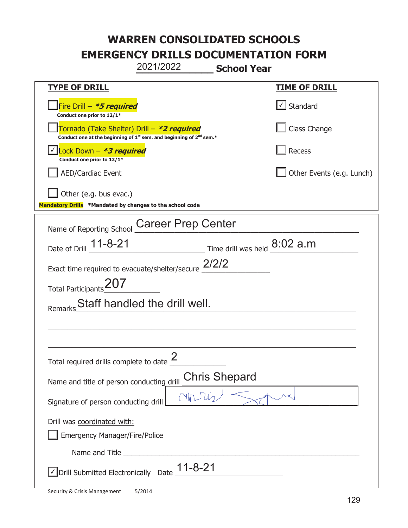# **WARREN CONSOLIDATED SCHOOLS**

**EMERGENCY DRILLS DOCUMENTATION FORM** 

**\_\_\_\_\_\_\_\_\_\_\_\_\_ School Year**  2021/2022

| <u>TYPE OF DRILL</u>                                                                                                        | <u>TIME OF DRILL</u>      |
|-----------------------------------------------------------------------------------------------------------------------------|---------------------------|
| Fire Drill - *5 required<br>Conduct one prior to 12/1*                                                                      | √ Standard                |
| Tornado (Take Shelter) Drill – *2 required<br>Conduct one at the beginning of $1^{st}$ sem. and beginning of $2^{nd}$ sem.* | Class Change              |
| Lock Down - *3 required<br>Conduct one prior to 12/1*                                                                       | Recess                    |
| <b>AED/Cardiac Event</b>                                                                                                    | Other Events (e.g. Lunch) |
| Other (e.g. bus evac.)<br>Mandatory Drills *Mandated by changes to the school code                                          |                           |
| <b>Career Prep Center</b><br>Name of Reporting School                                                                       |                           |
| Date of Drill 11-8-21<br>$\frac{8.02}{1}$ Time drill was held $\frac{8.02}{1}$ a.m                                          |                           |
| Exact time required to evacuate/shelter/secure $\frac{2/2}{2}$                                                              |                           |
| Total Participants                                                                                                          |                           |
| Staff handled the drill well.<br>Remarks                                                                                    |                           |
|                                                                                                                             |                           |
|                                                                                                                             |                           |
| Total required drills complete to date                                                                                      |                           |
| <b>Chris Shepard</b><br>Name and title of person conducting drill                                                           |                           |
| Qn<br>Signature of person conducting drill                                                                                  |                           |
| Drill was coordinated with:                                                                                                 |                           |
| <b>Emergency Manager/Fire/Police</b>                                                                                        |                           |
|                                                                                                                             |                           |
| $\sqrt{}$ Drill Submitted Electronically Date $\sqrt{11-8}$ -21                                                             |                           |